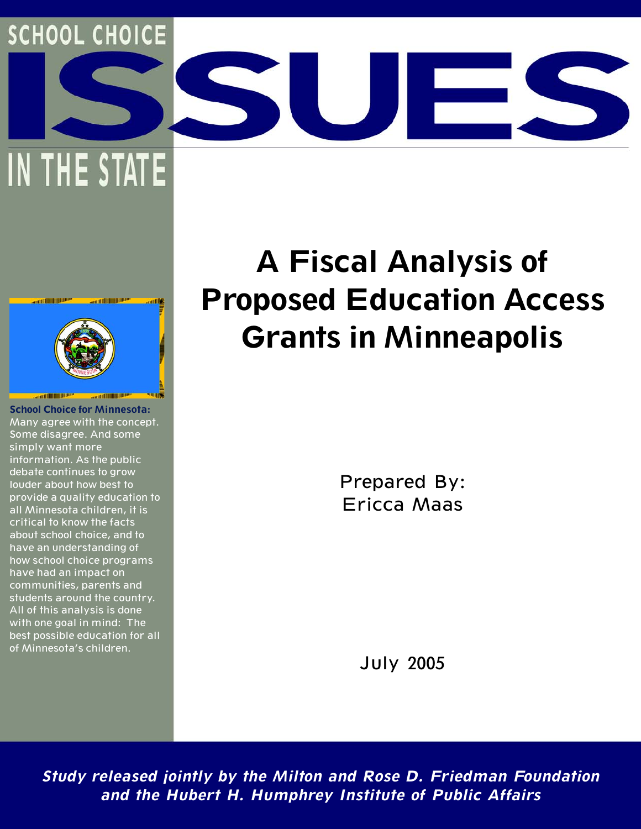## **SCHOOL CHOICE**

IN THE STATE



**School Choice for Minnesota:** Many agree with the concept. Some disagree. And some simply want more information. As the public debate continues to grow louder about how best to provide a quality education to all Minnesota children, it is critical to know the facts about school choice, and to have an understanding of how school choice programs have had an impact on communities, parents and students around the country. All of this analysis is done with one goal in mind: The best possible education for all of Minnesota's children.

# **A Fiscal Analysis of Proposed Education Access Grants in Minneapolis**

Prepared By: Ericca Maas

July 2005

**Study released jointly by the Milton and Rose D. Friedman Foundation and the Hubert H. Humphrey Institute of Public Affairs**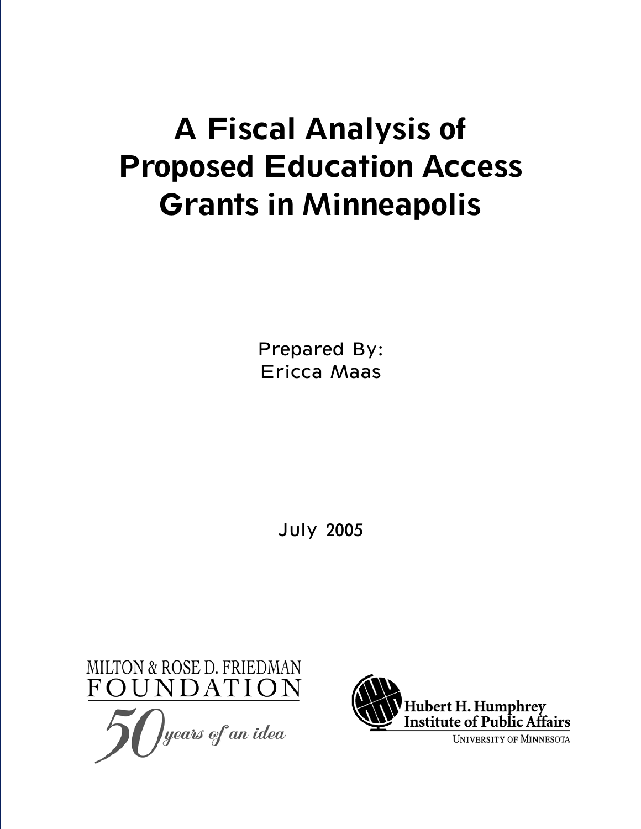# **A Fiscal Analysis of Proposed Education Access Grants in Minneapolis**

Prepared By: Ericca Maas

July 2005



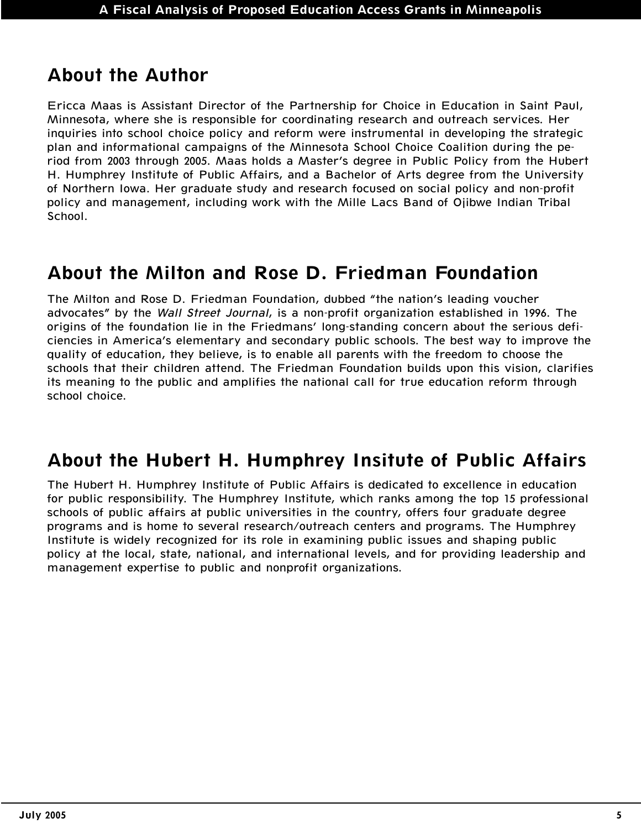### **About the Author**

Ericca Maas is Assistant Director of the Partnership for Choice in Education in Saint Paul, Minnesota, where she is responsible for coordinating research and outreach services. Her inquiries into school choice policy and reform were instrumental in developing the strategic plan and informational campaigns of the Minnesota School Choice Coalition during the period from 2003 through 2005. Maas holds a Master's degree in Public Policy from the Hubert H. Humphrey Institute of Public Affairs, and a Bachelor of Arts degree from the University of Northern Iowa. Her graduate study and research focused on social policy and non-profit policy and management, including work with the Mille Lacs Band of Ojibwe Indian Tribal School.

#### **About the Milton and Rose D. Friedman Foundation**

The Milton and Rose D. Friedman Foundation, dubbed "the nation's leading voucher advocates" by the Wall Street Journal, is a non-profit organization established in 1996. The origins of the foundation lie in the Friedmans' long-standing concern about the serious deficiencies in America's elementary and secondary public schools. The best way to improve the quality of education, they believe, is to enable all parents with the freedom to choose the schools that their children attend. The Friedman Foundation builds upon this vision, clarifies its meaning to the public and amplifies the national call for true education reform through school choice.

### **About the Hubert H. Humphrey Insitute of Public Affairs**

The Hubert H. Humphrey Institute of Public Affairs is dedicated to excellence in education for public responsibility. The Humphrey Institute, which ranks among the top 15 professional schools of public affairs at public universities in the country, offers four graduate degree programs and is home to several research/outreach centers and programs. The Humphrey Institute is widely recognized for its role in examining public issues and shaping public policy at the local, state, national, and international levels, and for providing leadership and management expertise to public and nonprofit organizations.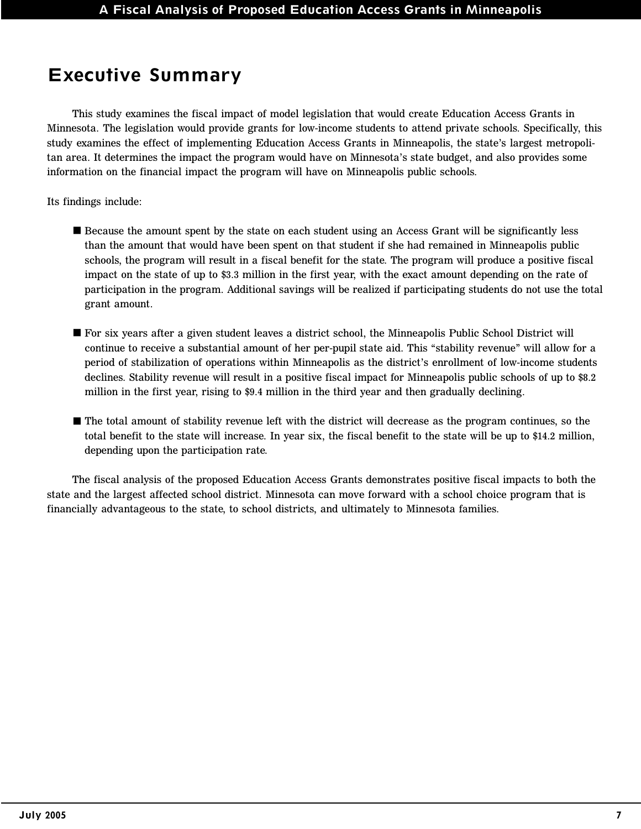### **Executive Summary**

This study examines the fiscal impact of model legislation that would create Education Access Grants in Minnesota. The legislation would provide grants for low-income students to attend private schools. Specifically, this study examines the effect of implementing Education Access Grants in Minneapolis, the state's largest metropolitan area. It determines the impact the program would have on Minnesota's state budget, and also provides some information on the financial impact the program will have on Minneapolis public schools.

Its findings include:

- Because the amount spent by the state on each student using an Access Grant will be significantly less than the amount that would have been spent on that student if she had remained in Minneapolis public schools, the program will result in a fiscal benefit for the state. The program will produce a positive fiscal impact on the state of up to \$3.3 million in the first year, with the exact amount depending on the rate of participation in the program. Additional savings will be realized if participating students do not use the total grant amount.
- For six years after a given student leaves a district school, the Minneapolis Public School District will continue to receive a substantial amount of her per-pupil state aid. This "stability revenue" will allow for a period of stabilization of operations within Minneapolis as the district's enrollment of low-income students declines. Stability revenue will result in a positive fiscal impact for Minneapolis public schools of up to \$8.2 million in the first year, rising to \$9.4 million in the third year and then gradually declining.
- The total amount of stability revenue left with the district will decrease as the program continues, so the total benefit to the state will increase. In year six, the fiscal benefit to the state will be up to \$14.2 million, depending upon the participation rate.

The fiscal analysis of the proposed Education Access Grants demonstrates positive fiscal impacts to both the state and the largest affected school district. Minnesota can move forward with a school choice program that is financially advantageous to the state, to school districts, and ultimately to Minnesota families.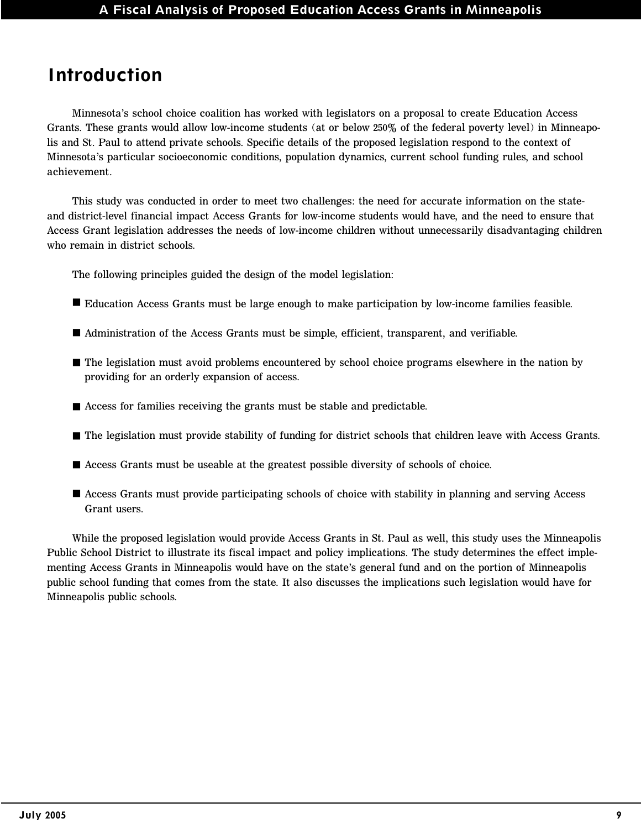#### **Introduction**

Minnesota's school choice coalition has worked with legislators on a proposal to create Education Access Grants. These grants would allow low-income students (at or below 250% of the federal poverty level) in Minneapolis and St. Paul to attend private schools. Specific details of the proposed legislation respond to the context of Minnesota's particular socioeconomic conditions, population dynamics, current school funding rules, and school achievement.

This study was conducted in order to meet two challenges: the need for accurate information on the stateand district-level financial impact Access Grants for low-income students would have, and the need to ensure that Access Grant legislation addresses the needs of low-income children without unnecessarily disadvantaging children who remain in district schools.

The following principles guided the design of the model legislation:

- Education Access Grants must be large enough to make participation by low-income families feasible.
- Administration of the Access Grants must be simple, efficient, transparent, and verifiable.
- The legislation must avoid problems encountered by school choice programs elsewhere in the nation by providing for an orderly expansion of access.
- Access for families receiving the grants must be stable and predictable.
- The legislation must provide stability of funding for district schools that children leave with Access Grants.
- Access Grants must be useable at the greatest possible diversity of schools of choice.
- Access Grants must provide participating schools of choice with stability in planning and serving Access Grant users.

While the proposed legislation would provide Access Grants in St. Paul as well, this study uses the Minneapolis Public School District to illustrate its fiscal impact and policy implications. The study determines the effect implementing Access Grants in Minneapolis would have on the state's general fund and on the portion of Minneapolis public school funding that comes from the state. It also discusses the implications such legislation would have for Minneapolis public schools.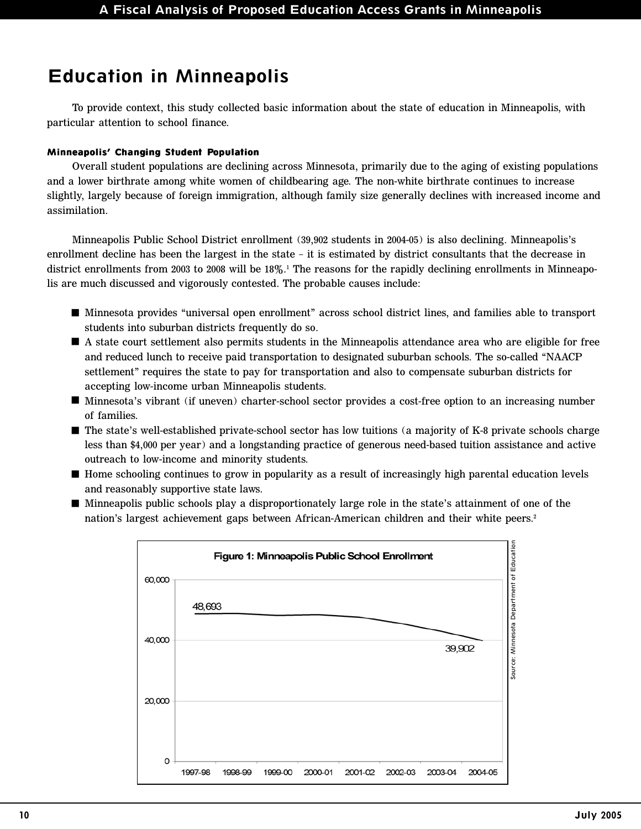### **Education in Minneapolis**

To provide context, this study collected basic information about the state of education in Minneapolis, with particular attention to school finance.

#### **Minneapolis' Changing Student Population**

Overall student populations are declining across Minnesota, primarily due to the aging of existing populations and a lower birthrate among white women of childbearing age. The non-white birthrate continues to increase slightly, largely because of foreign immigration, although family size generally declines with increased income and assimilation.

Minneapolis Public School District enrollment (39,902 students in 2004-05) is also declining. Minneapolis's enrollment decline has been the largest in the state – it is estimated by district consultants that the decrease in district enrollments from 2003 to 2008 will be 18%.1 The reasons for the rapidly declining enrollments in Minneapolis are much discussed and vigorously contested. The probable causes include:

- Minnesota provides "universal open enrollment" across school district lines, and families able to transport students into suburban districts frequently do so.
- A state court settlement also permits students in the Minneapolis attendance area who are eligible for free and reduced lunch to receive paid transportation to designated suburban schools. The so-called "NAACP settlement" requires the state to pay for transportation and also to compensate suburban districts for accepting low-income urban Minneapolis students.
- Minnesota's vibrant (if uneven) charter-school sector provides a cost-free option to an increasing number of families.
- The state's well-established private-school sector has low tuitions (a majority of K-8 private schools charge less than \$4,000 per year) and a longstanding practice of generous need-based tuition assistance and active outreach to low-income and minority students.
- Home schooling continues to grow in popularity as a result of increasingly high parental education levels and reasonably supportive state laws.
- Minneapolis public schools play a disproportionately large role in the state's attainment of one of the nation's largest achievement gaps between African-American children and their white peers.<sup>2</sup>

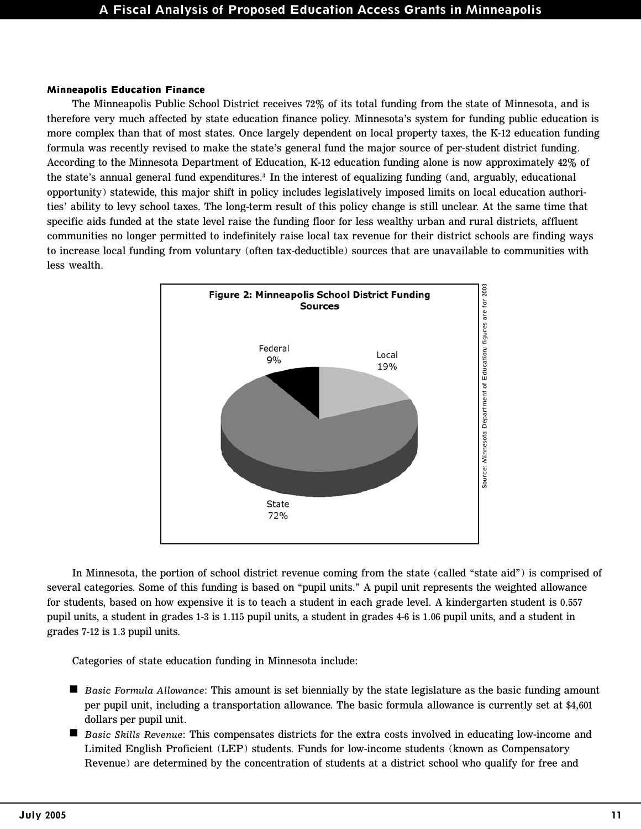#### **Minneapolis Education Finance**

The Minneapolis Public School District receives 72% of its total funding from the state of Minnesota, and is therefore very much affected by state education finance policy. Minnesota's system for funding public education is more complex than that of most states. Once largely dependent on local property taxes, the K-12 education funding formula was recently revised to make the state's general fund the major source of per-student district funding. According to the Minnesota Department of Education, K-12 education funding alone is now approximately 42% of the state's annual general fund expenditures.3 In the interest of equalizing funding (and, arguably, educational opportunity) statewide, this major shift in policy includes legislatively imposed limits on local education authorities' ability to levy school taxes. The long-term result of this policy change is still unclear. At the same time that specific aids funded at the state level raise the funding floor for less wealthy urban and rural districts, affluent communities no longer permitted to indefinitely raise local tax revenue for their district schools are finding ways to increase local funding from voluntary (often tax-deductible) sources that are unavailable to communities with less wealth.



In Minnesota, the portion of school district revenue coming from the state (called "state aid") is comprised of several categories. Some of this funding is based on "pupil units." A pupil unit represents the weighted allowance for students, based on how expensive it is to teach a student in each grade level. A kindergarten student is 0.557 pupil units, a student in grades 1-3 is 1.115 pupil units, a student in grades 4-6 is 1.06 pupil units, and a student in grades 7-12 is 1.3 pupil units.

Categories of state education funding in Minnesota include:

- *Basic Formula Allowance*: This amount is set biennially by the state legislature as the basic funding amount per pupil unit, including a transportation allowance. The basic formula allowance is currently set at \$4,601 dollars per pupil unit.
- *Basic Skills Revenue*: This compensates districts for the extra costs involved in educating low-income and Limited English Proficient (LEP) students. Funds for low-income students (known as Compensatory Revenue) are determined by the concentration of students at a district school who qualify for free and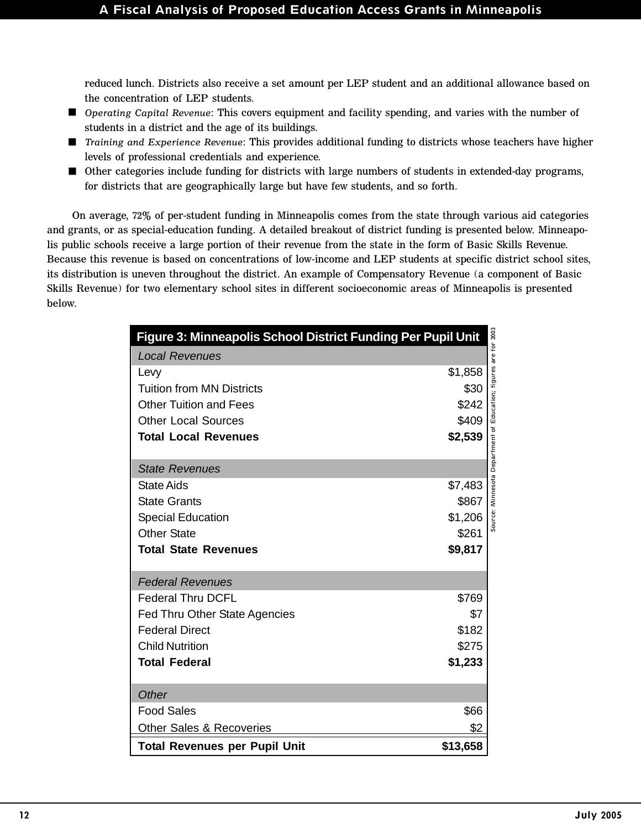reduced lunch. Districts also receive a set amount per LEP student and an additional allowance based on the concentration of LEP students.

- *Operating Capital Revenue*: This covers equipment and facility spending, and varies with the number of students in a district and the age of its buildings.
- *Training and Experience Revenue*: This provides additional funding to districts whose teachers have higher levels of professional credentials and experience.
- Other categories include funding for districts with large numbers of students in extended-day programs, for districts that are geographically large but have few students, and so forth.

On average, 72% of per-student funding in Minneapolis comes from the state through various aid categories and grants, or as special-education funding. A detailed breakout of district funding is presented below. Minneapolis public schools receive a large portion of their revenue from the state in the form of Basic Skills Revenue. Because this revenue is based on concentrations of low-income and LEP students at specific district school sites, its distribution is uneven throughout the district. An example of Compensatory Revenue (a component of Basic Skills Revenue) for two elementary school sites in different socioeconomic areas of Minneapolis is presented below.

| Figure 3: Minneapolis School District Funding Per Pupil Unit |                                                                 |  |  |  |
|--------------------------------------------------------------|-----------------------------------------------------------------|--|--|--|
| <b>Local Revenues</b>                                        |                                                                 |  |  |  |
| Levy                                                         | \$1,858                                                         |  |  |  |
| <b>Tuition from MN Districts</b>                             | \$30                                                            |  |  |  |
| <b>Other Tuition and Fees</b>                                | \$242                                                           |  |  |  |
| <b>Other Local Sources</b>                                   | \$409                                                           |  |  |  |
| <b>Total Local Revenues</b>                                  | \$2,539                                                         |  |  |  |
|                                                              | Source: Minnesota Department of Education; figures are for 2003 |  |  |  |
| <b>State Revenues</b>                                        |                                                                 |  |  |  |
| <b>State Aids</b>                                            | \$7,483                                                         |  |  |  |
| <b>State Grants</b>                                          | \$867                                                           |  |  |  |
| <b>Special Education</b>                                     | \$1,206                                                         |  |  |  |
| <b>Other State</b>                                           | \$261                                                           |  |  |  |
| <b>Total State Revenues</b>                                  | \$9,817                                                         |  |  |  |
|                                                              |                                                                 |  |  |  |
| <b>Federal Revenues</b>                                      |                                                                 |  |  |  |
| <b>Federal Thru DCFL</b>                                     | \$769                                                           |  |  |  |
| <b>Fed Thru Other State Agencies</b>                         | \$7                                                             |  |  |  |
| <b>Federal Direct</b>                                        | \$182                                                           |  |  |  |
| <b>Child Nutrition</b>                                       | \$275                                                           |  |  |  |
| <b>Total Federal</b>                                         | \$1,233                                                         |  |  |  |
|                                                              |                                                                 |  |  |  |
| Other                                                        |                                                                 |  |  |  |
| <b>Food Sales</b>                                            | \$66                                                            |  |  |  |
| Other Sales & Recoveries                                     | \$2                                                             |  |  |  |
| <b>Total Revenues per Pupil Unit</b>                         | \$13,658                                                        |  |  |  |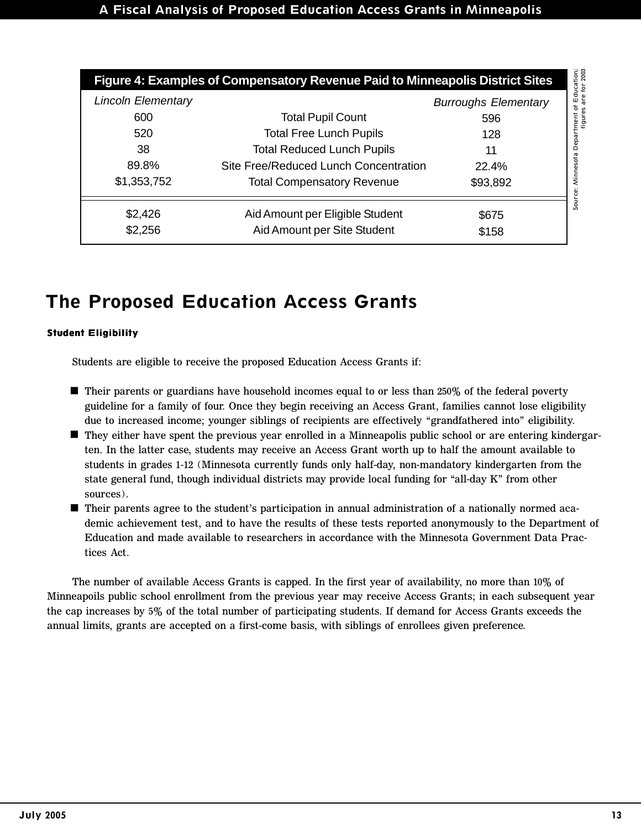| Figure 4: Examples of Compensatory Revenue Paid to Minneapolis District Sites |                                       |                             |  |  |  |
|-------------------------------------------------------------------------------|---------------------------------------|-----------------------------|--|--|--|
| <b>Lincoln Elementary</b>                                                     |                                       | <b>Burroughs Elementary</b> |  |  |  |
| 600                                                                           | <b>Total Pupil Count</b>              | 596                         |  |  |  |
| 520                                                                           | <b>Total Free Lunch Pupils</b>        | 128                         |  |  |  |
| 38                                                                            | <b>Total Reduced Lunch Pupils</b>     | 11                          |  |  |  |
| 89.8%                                                                         | Site Free/Reduced Lunch Concentration | 22.4%                       |  |  |  |
| \$1,353,752                                                                   | <b>Total Compensatory Revenue</b>     | \$93,892                    |  |  |  |
| \$2,426                                                                       | Aid Amount per Eligible Student       | \$675                       |  |  |  |
| \$2,256                                                                       | Aid Amount per Site Student           | \$158                       |  |  |  |

### **The Proposed Education Access Grants**

#### **Student Eligibility**

Students are eligible to receive the proposed Education Access Grants if:

- Their parents or guardians have household incomes equal to or less than 250% of the federal poverty guideline for a family of four. Once they begin receiving an Access Grant, families cannot lose eligibility due to increased income; younger siblings of recipients are effectively "grandfathered into" eligibility.
- They either have spent the previous year enrolled in a Minneapolis public school or are entering kindergar ten. In the latter case, students may receive an Access Grant worth up to half the amount available to students in grades 1-12 (Minnesota currently funds only half-day, non-mandatory kindergarten from the state general fund, though individual districts may provide local funding for "all-day K" from other sources).
- Their parents agree to the student's participation in annual administration of a nationally normed aca demic achievement test, and to have the results of these tests reported anonymously to the Department of Education and made available to researchers in accordance with the Minnesota Government Data Practices Act.

The number of available Access Grants is capped. In the first year of availability, no more than 10% of Minneapoils public school enrollment from the previous year may receive Access Grants; in each subsequent year the cap increases by 5% of the total number of participating students. If demand for Access Grants exceeds the annual limits, grants are accepted on a first-come basis, with siblings of enrollees given preference.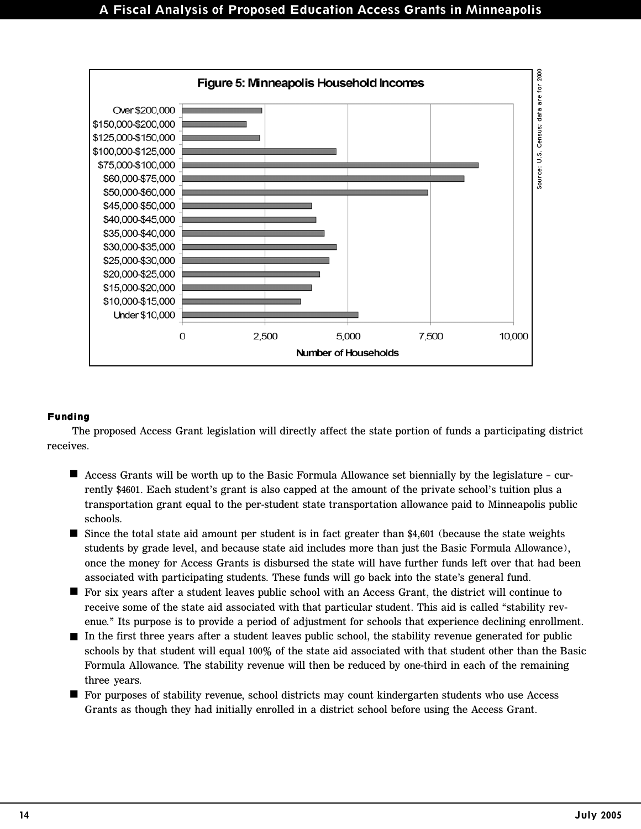

#### **Funding**

The proposed Access Grant legislation will directly affect the state portion of funds a participating district receives.

- Access Grants will be worth up to the Basic Formula Allowance set biennially by the legislature cur rently \$4601. Each student's grant is also capped at the amount of the private school's tuition plus a transportation grant equal to the per-student state transportation allowance paid to Minneapolis public schools.
- Since the total state aid amount per student is in fact greater than \$4,601 (because the state weights students by grade level, and because state aid includes more than just the Basic Formula Allowance), once the money for Access Grants is disbursed the state will have further funds left over that had been associated with participating students. These funds will go back into the state's general fund.
- For six years after a student leaves public school with an Access Grant, the district will continue to receive some of the state aid associated with that particular student. This aid is called "stability revenue." Its purpose is to provide a period of adjustment for schools that experience declining enrollment.
- In the first three years after a student leaves public school, the stability revenue generated for public schools by that student will equal 100% of the state aid associated with that student other than the Basic Formula Allowance. The stability revenue will then be reduced by one-third in each of the remaining three years.
- For purposes of stability revenue, school districts may count kindergarten students who use Access Grants as though they had initially enrolled in a district school before using the Access Grant.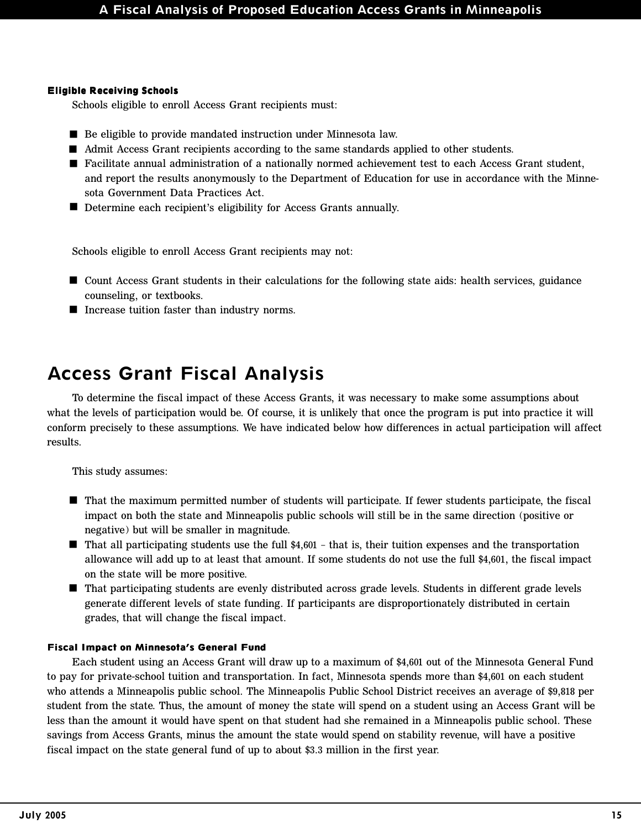#### **Eligible Receiving Schools**

Schools eligible to enroll Access Grant recipients must:

- Be eligible to provide mandated instruction under Minnesota law.
- Admit Access Grant recipients according to the same standards applied to other students.
- Facilitate annual administration of a nationally normed achievement test to each Access Grant student, and report the results anonymously to the Department of Education for use in accordance with the Minnesota Government Data Practices Act.
- Determine each recipient's eligibility for Access Grants annually.

Schools eligible to enroll Access Grant recipients may not:

- Count Access Grant students in their calculations for the following state aids: health services, guidance counseling, or textbooks.
- $\blacksquare$  Increase tuition faster than industry norms.

### **Access Grant Fiscal Analysis**

To determine the fiscal impact of these Access Grants, it was necessary to make some assumptions about what the levels of participation would be. Of course, it is unlikely that once the program is put into practice it will conform precisely to these assumptions. We have indicated below how differences in actual participation will affect results.

This study assumes:

- That the maximum permitted number of students will participate. If fewer students participate, the fiscal impact on both the state and Minneapolis public schools will still be in the same direction (positive or negative) but will be smaller in magnitude.
- That all participating students use the full \$4,601 that is, their tuition expenses and the transportation allowance will add up to at least that amount. If some students do not use the full \$4,601, the fiscal impact on the state will be more positive.
- That participating students are evenly distributed across grade levels. Students in different grade levels generate different levels of state funding. If participants are disproportionately distributed in certain grades, that will change the fiscal impact.

#### **Fiscal Impact on Minnesota's General Fund**

Each student using an Access Grant will draw up to a maximum of \$4,601 out of the Minnesota General Fund to pay for private-school tuition and transportation. In fact, Minnesota spends more than \$4,601 on each student who attends a Minneapolis public school. The Minneapolis Public School District receives an average of \$9,818 per student from the state. Thus, the amount of money the state will spend on a student using an Access Grant will be less than the amount it would have spent on that student had she remained in a Minneapolis public school. These savings from Access Grants, minus the amount the state would spend on stability revenue, will have a positive fiscal impact on the state general fund of up to about \$3.3 million in the first year.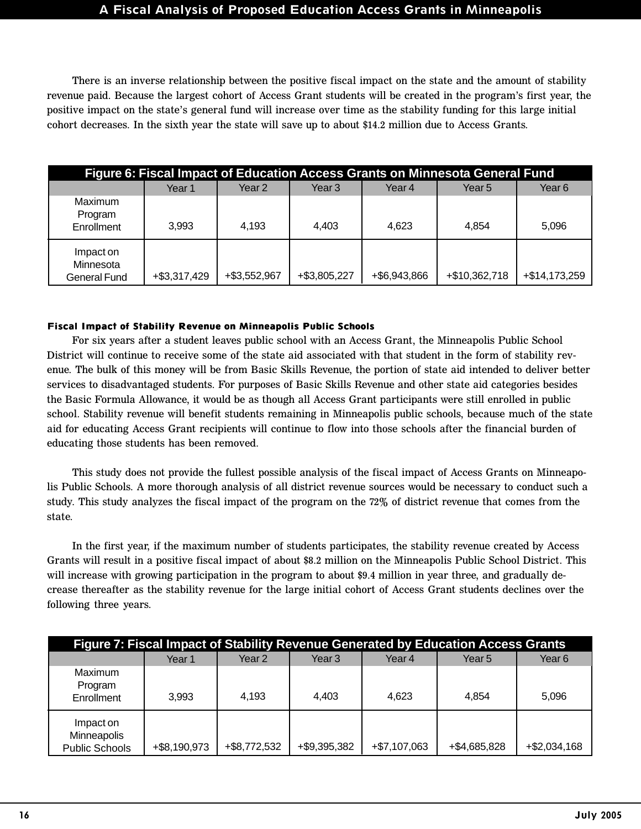There is an inverse relationship between the positive fiscal impact on the state and the amount of stability revenue paid. Because the largest cohort of Access Grant students will be created in the program's first year, the positive impact on the state's general fund will increase over time as the stability funding for this large initial cohort decreases. In the sixth year the state will save up to about \$14.2 million due to Access Grants.

| Figure 6: Fiscal Impact of Education Access Grants on Minnesota General Fund |                 |              |              |              |               |               |
|------------------------------------------------------------------------------|-----------------|--------------|--------------|--------------|---------------|---------------|
|                                                                              | Year 1          | Year 2       | Year 3       | Year 4       | Year 5        | Year 6        |
| Maximum<br>Program<br>Enrollment                                             | 3.993           | 4,193        | 4.403        | 4,623        | 4.854         | 5,096         |
| Impact on<br>Minnesota<br>General Fund                                       | $+$ \$3,317,429 | +\$3,552,967 | +\$3,805,227 | +\$6,943,866 | +\$10,362,718 | +\$14,173,259 |

#### **Fiscal Impact of Stability Revenue on Minneapolis Public Schools**

For six years after a student leaves public school with an Access Grant, the Minneapolis Public School District will continue to receive some of the state aid associated with that student in the form of stability revenue. The bulk of this money will be from Basic Skills Revenue, the portion of state aid intended to deliver better services to disadvantaged students. For purposes of Basic Skills Revenue and other state aid categories besides the Basic Formula Allowance, it would be as though all Access Grant participants were still enrolled in public school. Stability revenue will benefit students remaining in Minneapolis public schools, because much of the state aid for educating Access Grant recipients will continue to flow into those schools after the financial burden of educating those students has been removed.

This study does not provide the fullest possible analysis of the fiscal impact of Access Grants on Minneapolis Public Schools. A more thorough analysis of all district revenue sources would be necessary to conduct such a study. This study analyzes the fiscal impact of the program on the 72% of district revenue that comes from the state.

In the first year, if the maximum number of students participates, the stability revenue created by Access Grants will result in a positive fiscal impact of about \$8.2 million on the Minneapolis Public School District. This will increase with growing participation in the program to about \$9.4 million in year three, and gradually decrease thereafter as the stability revenue for the large initial cohort of Access Grant students declines over the following three years.

| Figure 7: Fiscal Impact of Stability Revenue Generated by Education Access Grants |              |              |              |                |              |                 |
|-----------------------------------------------------------------------------------|--------------|--------------|--------------|----------------|--------------|-----------------|
|                                                                                   | Year 1       | Year 2       | Year 3       | Year 4         | Year 5       | Year 6          |
| Maximum<br>Program<br>Enrollment                                                  | 3,993        | 4,193        | 4,403        | 4,623          | 4.854        | 5.096           |
| Impact on<br>Minneapolis<br><b>Public Schools</b>                                 | +\$8,190,973 | +\$8,772,532 | +\$9,395,382 | $+ $7,107,063$ | +\$4,685,828 | $+$ \$2,034,168 |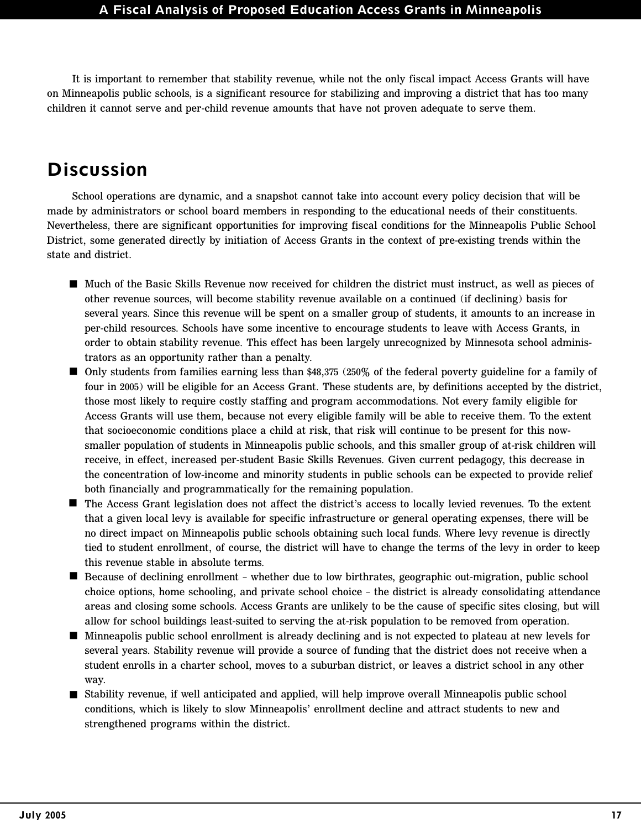It is important to remember that stability revenue, while not the only fiscal impact Access Grants will have on Minneapolis public schools, is a significant resource for stabilizing and improving a district that has too many children it cannot serve and per-child revenue amounts that have not proven adequate to serve them.

### **Discussion**

School operations are dynamic, and a snapshot cannot take into account every policy decision that will be made by administrators or school board members in responding to the educational needs of their constituents. Nevertheless, there are significant opportunities for improving fiscal conditions for the Minneapolis Public School District, some generated directly by initiation of Access Grants in the context of pre-existing trends within the state and district.

- Much of the Basic Skills Revenue now received for children the district must instruct, as well as pieces of other revenue sources, will become stability revenue available on a continued (if declining) basis for several years. Since this revenue will be spent on a smaller group of students, it amounts to an increase in per-child resources. Schools have some incentive to encourage students to leave with Access Grants, in order to obtain stability revenue*.* This effect has been largely unrecognized by Minnesota school administrators as an opportunity rather than a penalty.
- Only students from families earning less than \$48,375 (250% of the federal poverty guideline for a family of four in 2005) will be eligible for an Access Grant. These students are, by definitions accepted by the district, those most likely to require costly staffing and program accommodations. Not every family eligible for Access Grants will use them, because not every eligible family will be able to receive them. To the extent that socioeconomic conditions place a child at risk, that risk will continue to be present for this nowsmaller population of students in Minneapolis public schools, and this smaller group of at-risk children will receive, in effect, increased per-student Basic Skills Revenues. Given current pedagogy, this decrease in the concentration of low-income and minority students in public schools can be expected to provide relief both financially and programmatically for the remaining population.
- The Access Grant legislation does not affect the district's access to locally levied revenues. To the extent that a given local levy is available for specific infrastructure or general operating expenses, there will be no direct impact on Minneapolis public schools obtaining such local funds. Where levy revenue is directly tied to student enrollment, of course, the district will have to change the terms of the levy in order to keep this revenue stable in absolute terms.
- Because of declining enrollment whether due to low birthrates, geographic out-migration, public school choice options, home schooling, and private school choice – the district is already consolidating attendance areas and closing some schools. Access Grants are unlikely to be the cause of specific sites closing, but will allow for school buildings least-suited to serving the at-risk population to be removed from operation.
- Minneapolis public school enrollment is already declining and is not expected to plateau at new levels for several years. Stability revenue will provide a source of funding that the district does not receive when a student enrolls in a charter school, moves to a suburban district, or leaves a district school in any other way.
- Stability revenue, if well anticipated and applied, will help improve overall Minneapolis public school conditions, which is likely to slow Minneapolis' enrollment decline and attract students to new and strengthened programs within the district.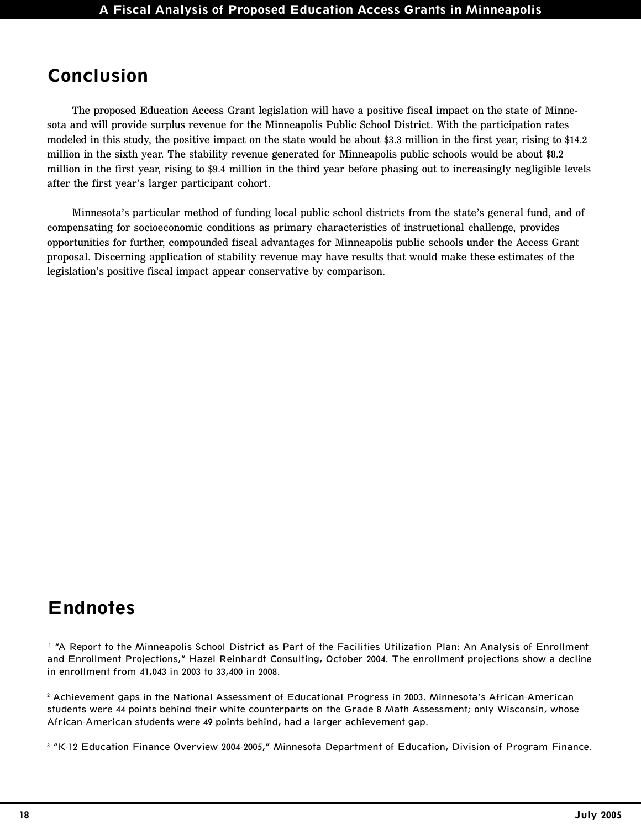### **Conclusion**

The proposed Education Access Grant legislation will have a positive fiscal impact on the state of Minnesota and will provide surplus revenue for the Minneapolis Public School District. With the participation rates modeled in this study, the positive impact on the state would be about \$3.3 million in the first year, rising to \$14.2 million in the sixth year. The stability revenue generated for Minneapolis public schools would be about \$8.2 million in the first year, rising to \$9.4 million in the third year before phasing out to increasingly negligible levels after the first year's larger participant cohort.

Minnesota's particular method of funding local public school districts from the state's general fund, and of compensating for socioeconomic conditions as primary characteristics of instructional challenge, provides opportunities for further, compounded fiscal advantages for Minneapolis public schools under the Access Grant proposal. Discerning application of stability revenue may have results that would make these estimates of the legislation's positive fiscal impact appear conservative by comparison.

### **Endnotes**

<sup>1</sup> "A Report to the Minneapolis School District as Part of the Facilities Utilization Plan: An Analysis of Enrollment and Enrollment Projections," Hazel Reinhardt Consulting, October 2004. The enrollment projections show a decline in enrollment from 41,043 in 2003 to 33,400 in 2008.

2 Achievement gaps in the National Assessment of Educational Progress in 2003. Minnesota's African-American students were 44 points behind their white counterparts on the Grade 8 Math Assessment; only Wisconsin, whose African-American students were 49 points behind, had a larger achievement gap.

<sup>3</sup> "K-12 Education Finance Overview 2004-2005," Minnesota Department of Education, Division of Program Finance.